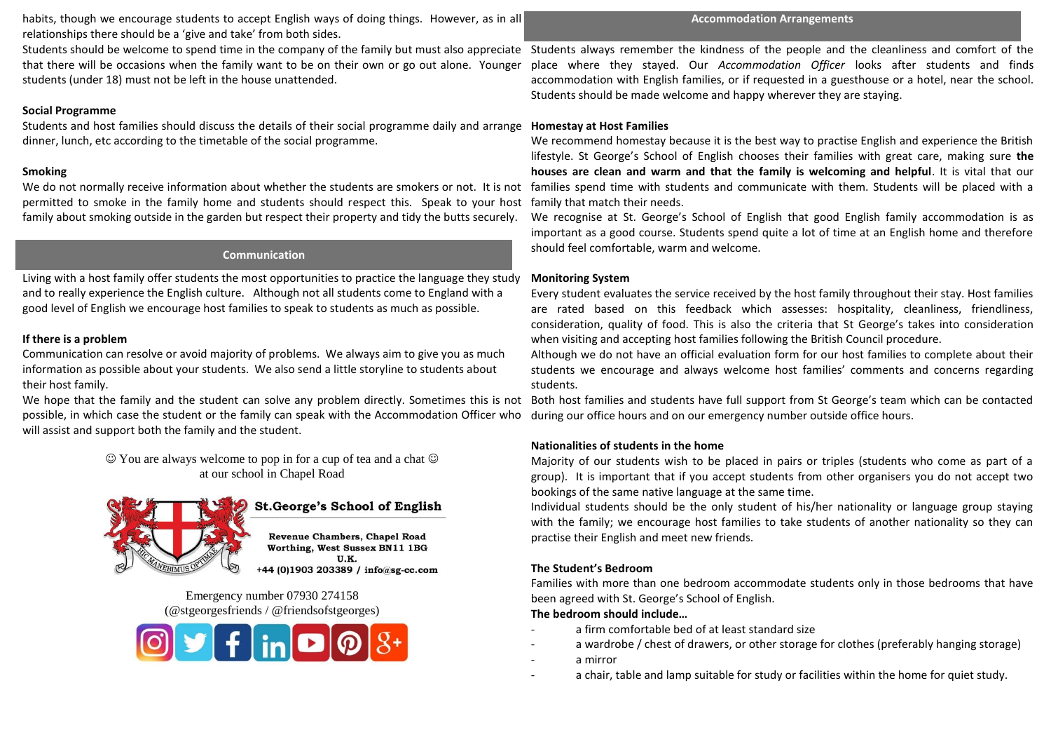habits, though we encourage students to accept English ways of doing things. However, as in all relationships there should be a 'give and take' from both sides.

that there will be occasions when the family want to be on their own or go out alone. Younger students (under 18) must not be left in the house unattended.

## **Social Programme**

Students and host families should discuss the details of their social programme daily and arrange **Homestay at Host Families** dinner, lunch, etc according to the timetable of the social programme.

# **Smoking**

We do not normally receive information about whether the students are smokers or not. It is not permitted to smoke in the family home and students should respect this. Speak to your host family about smoking outside in the garden but respect their property and tidy the butts securely.

## **Communication**

Living with a host family offer students the most opportunities to practice the language they study and to really experience the English culture. Although not all students come to England with a good level of English we encourage host families to speak to students as much as possible.

# **If there is a problem**

Communication can resolve or avoid majority of problems. We always aim to give you as much information as possible about your students. We also send a little storyline to students about their host family.

We hope that the family and the student can solve any problem directly. Sometimes this is not possible, in which case the student or the family can speak with the Accommodation Officer who will assist and support both the family and the student.

> $\odot$  You are always welcome to pop in for a cup of tea and a chat  $\odot$ at our school in Chapel Road



# **St.George's School of English**

**Revenue Chambers, Chapel Road** Worthing, West Sussex BN11 1BG U.K. +44 (0)1903 203389 / info@sg-cc.com

Emergency number 07930 274158 (@stgeorgesfriends / @friendsofstgeorges)



### **Accommodation Arrangements**

Students should be welcome to spend time in the company of the family but must also appreciate Students always remember the kindness of the people and the cleanliness and comfort of the place where they stayed. Our *Accommodation Officer* looks after students and finds accommodation with English families, or if requested in a guesthouse or a hotel, near the school. Students should be made welcome and happy wherever they are staying.

We recommend homestay because it is the best way to practise English and experience the British lifestyle. St George's School of English chooses their families with great care, making sure **the houses are clean and warm and that the family is welcoming and helpful**. It is vital that our families spend time with students and communicate with them. Students will be placed with a family that match their needs.

We recognise at St. George's School of English that good English family accommodation is as important as a good course. Students spend quite a lot of time at an English home and therefore should feel comfortable, warm and welcome.

## **Monitoring System**

Every student evaluates the service received by the host family throughout their stay. Host families are rated based on this feedback which assesses: hospitality, cleanliness, friendliness, consideration, quality of food. This is also the criteria that St George's takes into consideration when visiting and accepting host families following the British Council procedure.

Although we do not have an official evaluation form for our host families to complete about their students we encourage and always welcome host families' comments and concerns regarding students.

Both host families and students have full support from St George's team which can be contacted during our office hours and on our emergency number outside office hours.

# **Nationalities of students in the home**

Majority of our students wish to be placed in pairs or triples (students who come as part of a group). It is important that if you accept students from other organisers you do not accept two bookings of the same native language at the same time.

Individual students should be the only student of his/her nationality or language group staying with the family; we encourage host families to take students of another nationality so they can practise their English and meet new friends.

# **The Student's Bedroom**

Families with more than one bedroom accommodate students only in those bedrooms that have been agreed with St. George's School of English.

### **The bedroom should include…**

- a firm comfortable bed of at least standard size
- a wardrobe / chest of drawers, or other storage for clothes (preferably hanging storage)
- a mirror
- a chair, table and lamp suitable for study or facilities within the home for quiet study.